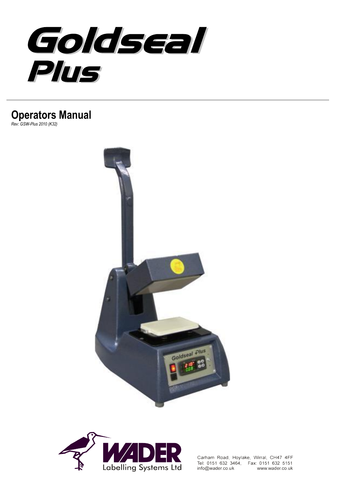

# **Operators Manual**

*Rev: GSW-Plus 2010 (K32)*





Carham Road, Hoylake, Wirral, CH47 4FF Tel: 0151 632 3464, Fax: 0151 632 5151 info@wader.co.uk www.wader.co.uk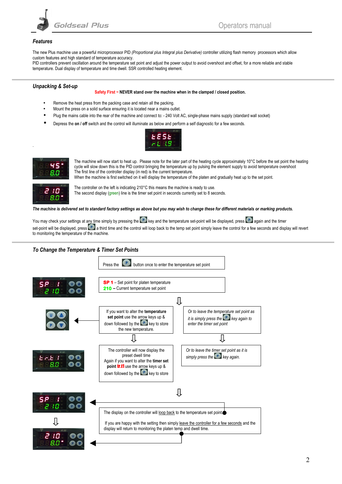

# *Features*

The new Plus machine use a powerful microprocessor PID *(Proportional plus Integral plus Derivative)* controller utilizing flash memory processors which allow custom features and high standard of temperature accuracy.

PID controllers prevent oscillation around the temperature set point and adjust the power output to avoid overshoot and offset, for a more reliable and stable temperature. Dual display of temperature and time dwell. SSR controlled heating element.

### *Unpacking & Set-up*

#### **Safety First ~ NEVER stand over the machine when in the clamped / closed position.**

- Remove the heat press from the packing case and retain all the packing.
- Mount the press on a solid surface ensuring it is located near a mains outlet.
- Plug the mains cable into the rear of the machine and connect to: 240 Volt AC, single-phase mains supply (standard wall socket)
- Depress the **on / off** switch and the control will illuminate as below and perform a self diagnostic for a few seconds.





.

The machine will now start to heat up. Please note for the later part of the heating cycle approximately 10°C before the set point the heating cycle will slow down this is the PID control bringing the temperature up by pulsing the element supply to avoid temperature overshoot The first line of the controller display (in red) is the current temperature. When the machine is first switched on it will display the temperature of the platen and gradually heat up to the set point.



The controller on the left is indicating 210°C this means the machine is ready to use. The second display (green) line is the timer set point in seconds currently set to 8 seconds.

*The machine is delivered set to standard factory settings as above but you may wish to change these for different materials or marking products.*

You may check your settings at any time simply by pressing the  $\bigodot$  key and the temperature set-point will be displayed, press  $\bigodot$  again and the timer set-point will be displayed, press  $\bigcirc$  a third time and the control will loop back to the temp set point simply leave the control for a few seconds and display will revert to monitoring the temperature of the machine.

# *To Change the Temperature & Timer Set Points*

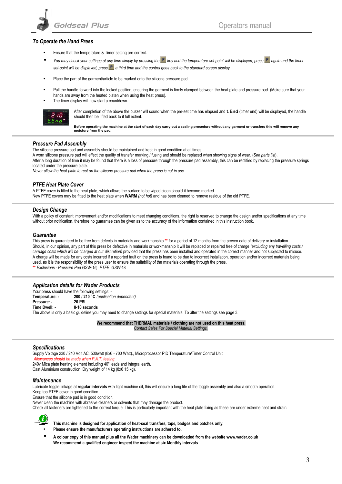

#### *To Operate the Hand Press*

- Ensure that the temperature & Timer setting are correct.
- You may check your settings at any time simply by pressing the **P** key and the temperature set-point will be displayed, press **P** again and the timer set-point will be displayed, press **P** a third time and the control goes back to the standard screen display
- Place the part of the garment/article to be marked onto the silicone pressure pad.
- Pull the handle forward into the locked position, ensuring the garment is firmly clamped between the heat plate and pressure pad. (Make sure that your hands are away from the heated platen when using the heat press).
- The timer display will now start a countdown.



After completion of the above the buzzer will sound when the pre-set time has elapsed and **t.End** (timer end) will be displayed, the handle should then be lifted back to it full extent.

**Before operating the machine at the start of each day carry out a sealing procedure without any garment or transfers this will remove any moisture from the pad.**

#### *Pressure Pad Assembly*

The silicone pressure pad and assembly should be maintained and kept in good condition at all times.

A worn silicone pressure pad will effect the quality of transfer marking / fusing and should be replaced when showing signs of wear. (*See parts list*). After a long duration of time it may be found that there is a loss of pressure through the pressure pad assembly, this can be rectified by replacing the pressure springs located under the pressure plate.

*Never allow the heat plate to rest on the silicone pressure pad when the press is not in use.*

#### *PTFE Heat Plate Cover*

A PTFE cover is fitted to the heat plate, which allows the surface to be wiped clean should it become marked. New PTFE covers may be fitted to the heat plate when **WARM** *(not hot)* and has been cleaned to remove residue of the old PTFE.

# *Design Change*

With a policy of constant improvement and/or modifications to meet changing conditions, the right is reserved to change the design and/or specifications at any time without prior notification, therefore no guarantee can be given as to the accuracy of the information contained in this instruction book.

#### *Guarantee*

This press is guaranteed to be free from defects in materials and workmanship **\*\*** for a period of 12 months from the proven date of delivery or installation. Should, in our opinion, any part of this press be defective in materials or workmanship it will be replaced or repaired free of charge *(excluding any travelling costs / carriage costs which will be charged at our discretion)* provided that the press has been installed and operated in the correct manner and not subjected to misuse. A charge will be made for any costs incurred if a reported fault on the press is found to be due to incorrect installation, operation and/or incorrect materials being used, as it is the responsibility of the press user to ensure the suitability of the materials operating through the press. **\*\*** *Exclusions - Pressure Pad GSW-16, PTFE GSW-*18

# *Application details for Wader Products*

Your press should have the following settings: - **Temperature: - 200 / 210** °**C** *(application dependent)* **Pressure: - 20 PSI Time Dwell: - 8-10 seconds** The above is only a basic guideline you may need to change settings for special materials. To alter the settings see page 3.

> **We recommend that THERMAL materials / clothing are not used on this heat press.** *Contact Sales For Special Material Settings.*

#### *Specifications*

Supply Voltage 230 / 240 Volt AC. 500watt (8x6 - 700 Watt)., Microprocessor PID Temperature/Timer Control Unit. *Allowances should be made when P.A.T. testing*. 240v Mica plate heating element including 40" leads and integral earth. Cast Aluminium construction. Dry weight of 14 kg (8x6 15 kg).

#### *Maintenance*

Lubricate toggle linkage at **regular intervals** with light machine oil, this will ensure a long life of the toggle assembly and also a smooth operation.

Keep top PTFE cover in good condition. Ensure that the silicone pad is in good condition.

Never clean the machine with abrasive cleaners or solvents that may damage the product.

Check all fasteners are tightened to the correct torque. This is particularly important with the heat plate fixing as these are under extreme heat and strain.



- **This machine is designed for application of heat-seal transfers, tape, badges and patches only.**
- **Please ensure the manufacturers operating instructions are adhered to.**
- **A colour copy of this manual plus all the Wader machinery can be downloaded from the website [www.wader.co.uk](http://www.wader.co.uk/) We recommend a qualified engineer inspect the machine at six Monthly intervals**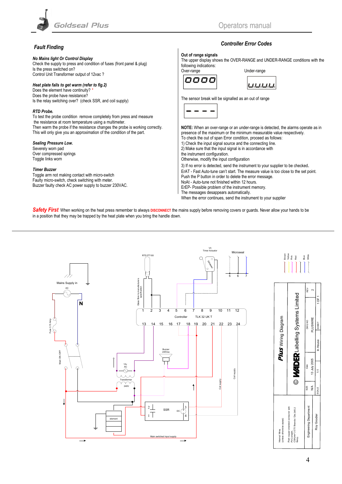

# *Fault Finding*

### *No Mains light Or Control Display*

Check the supply to press and condition of fuses (front panel & plug) Is the press switched on? Control Unit Transformer output of 12vac ?

# *Heat plate fails to get warm (refer to fig.2)*

Does the element have continuity? *\** Does the probe have resistance? Is the relay switching over? (check SSR, and coil supply)

#### *RTD Probe.*

To test the probe condition remove completely from press and measure the resistance at room temperature using a multimeter. Then warm the probe if the resistance changes the probe is working correctly. This will only give you an approximation of the condition of the part.

#### *Sealing Pressure Low.*

Severely worn pad Over compressed springs Toggle links worn

#### *Timer Buzzer*

Toggle arm not making contact with micro-switch Faulty micro-switch, check switching with meter. Buzzer faulty check AC power supply to buzzer 230VAC.

# *Controller Error Codes*

#### **Out of range signals**

The upper display shows the OVER-RANGE and UNDER-RANGE conditions with the following indications: Over-range Under-range





The sensor break will be signalled as an out of range

ErEP- Possible problem of the instrument memory. The messages desappears automatically.

When the error continues, send the instrument to your supplier



**NOTE:** When an over-range or an under-range is detected, the alarms operate as in presence of the maximum or the minimum measurable value respectively. To check the out of span Error condition, proceed as follows: 1) Check the input signal source and the connecting line. 2) Make sure that the input signal is in accordance with the instrument configuration. Otherwise, modify the input configuration 3) If no error is detected, send the instrument to your supplier to be checked. ErAT - Fast Auto-tune can't start. The measure value is too close to the set point. Push the P button in order to delete the error message. NoAt - Auto-tune not finished within 12 hours.

Safety First When working on the heat press remember to always **DISCONNECT** the mains supply before removing covers or guards. Never allow your hands to be in a position that they may be trapped by the heat plate when you bring the handle down.



Pink Red Blue White Yellow Brown

|                                             |                                                                                                                 | REV                    |               |                   |
|---------------------------------------------|-----------------------------------------------------------------------------------------------------------------|------------------------|---------------|-------------------|
|                                             | © MADER Labelling Systems Limited                                                                               | DWG NO                 | PLUSWIRE      | $1$ OF 1<br>SHEET |
| <b>Plus</b> Wiring Diagram                  |                                                                                                                 |                        |               | In House          |
|                                             |                                                                                                                 | Date                   | 13 July 2005  | Ξ                 |
|                                             |                                                                                                                 | <b>SIZE</b>            | $\frac{4}{2}$ | SCALE             |
| (unless otherwise stated)<br>Internal Wires | Plain copper stranded conductor with<br>CSA(mm <sup>2</sup> ) 0.75 Strands / Dia 24/0.2<br>PVC sheath.<br>Gamp. | Engineering Department |               | Roy Goodier       |